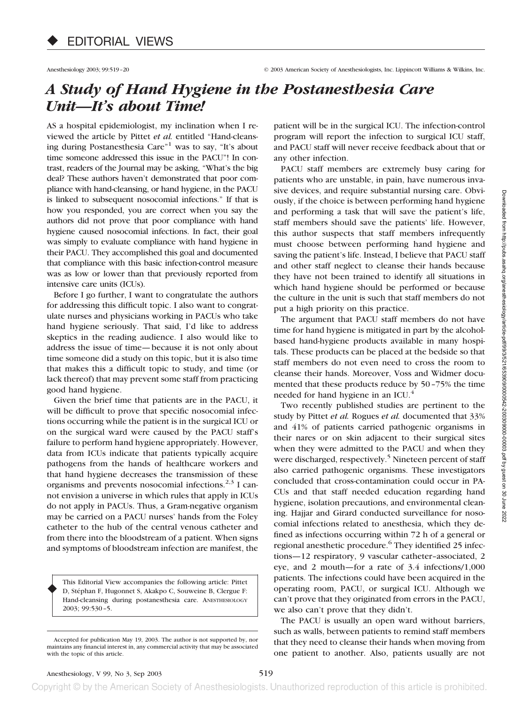## *A Study of Hand Hygiene in the Postanesthesia Care Unit—It's about Time!*

AS a hospital epidemiologist, my inclination when I reviewed the article by Pittet *et al.* entitled "Hand-cleansing during Postanesthesia Care"1 was to say, "It's about time someone addressed this issue in the PACU"! In contrast, readers of the Journal may be asking, "What's the big deal? These authors haven't demonstrated that poor compliance with hand-cleansing, or hand hygiene, in the PACU is linked to subsequent nosocomial infections." If that is how you responded, you are correct when you say the authors did not prove that poor compliance with hand hygiene caused nosocomial infections. In fact, their goal was simply to evaluate compliance with hand hygiene in their PACU. They accomplished this goal and documented that compliance with this basic infection-control measure was as low or lower than that previously reported from intensive care units (ICUs).

Before I go further, I want to congratulate the authors for addressing this difficult topic. I also want to congratulate nurses and physicians working in PACUs who take hand hygiene seriously. That said, I'd like to address skeptics in the reading audience. I also would like to address the issue of time—because it is not only about time someone did a study on this topic, but it is also time that makes this a difficult topic to study, and time (or lack thereof) that may prevent some staff from practicing good hand hygiene.

Given the brief time that patients are in the PACU, it will be difficult to prove that specific nosocomial infections occurring while the patient is in the surgical ICU or on the surgical ward were caused by the PACU staff's failure to perform hand hygiene appropriately. However, data from ICUs indicate that patients typically acquire pathogens from the hands of healthcare workers and that hand hygiene decreases the transmission of these organisms and prevents nosocomial infections.<sup>2,3</sup> I cannot envision a universe in which rules that apply in ICUs do not apply in PACUs. Thus, a Gram-negative organism may be carried on a PACU nurses' hands from the Foley catheter to the hub of the central venous catheter and from there into the bloodstream of a patient. When signs and symptoms of bloodstream infection are manifest, the

This Editorial View accompanies the following article: Pittet D, Stéphan F, Hugonnet S, Akakpo C, Souweine B, Clergue F: Hand-cleansing during postanesthesia care. ANESTHESIOLOGY 2003; 99:530–5. ♦

patient will be in the surgical ICU. The infection-control program will report the infection to surgical ICU staff, and PACU staff will never receive feedback about that or any other infection.

PACU staff members are extremely busy caring for patients who are unstable, in pain, have numerous invasive devices, and require substantial nursing care. Obviously, if the choice is between performing hand hygiene and performing a task that will save the patient's life, staff members should save the patients' life. However, this author suspects that staff members infrequently must choose between performing hand hygiene and saving the patient's life. Instead, I believe that PACU staff and other staff neglect to cleanse their hands because they have not been trained to identify all situations in which hand hygiene should be performed or because the culture in the unit is such that staff members do not put a high priority on this practice.

The argument that PACU staff members do not have time for hand hygiene is mitigated in part by the alcoholbased hand-hygiene products available in many hospitals. These products can be placed at the bedside so that staff members do not even need to cross the room to cleanse their hands. Moreover, Voss and Widmer documented that these products reduce by 50–75% the time needed for hand hygiene in an ICU.<sup>4</sup>

Two recently published studies are pertinent to the study by Pittet *et al.* Rogues *et al.* documented that 33% and 41% of patients carried pathogenic organisms in their nares or on skin adjacent to their surgical sites when they were admitted to the PACU and when they were discharged, respectively.<sup>5</sup> Nineteen percent of staff also carried pathogenic organisms. These investigators concluded that cross-contamination could occur in PA-CUs and that staff needed education regarding hand hygiene, isolation precautions, and environmental cleaning. Hajjar and Girard conducted surveillance for nosocomial infections related to anesthesia, which they defined as infections occurring within 72 h of a general or regional anesthetic procedure.<sup>6</sup> They identified 25 infections—12 respiratory, 9 vascular catheter–associated, 2 eye, and 2 mouth—for a rate of 3.4 infections/1,000 patients. The infections could have been acquired in the operating room, PACU, or surgical ICU. Although we can't prove that they originated from errors in the PACU, we also can't prove that they didn't.

The PACU is usually an open ward without barriers, such as walls, between patients to remind staff members that they need to cleanse their hands when moving from one patient to another. Also, patients usually are not

Accepted for publication May 19, 2003. The author is not supported by, nor maintains any financial interest in, any commercial activity that may be associated with the topic of this article.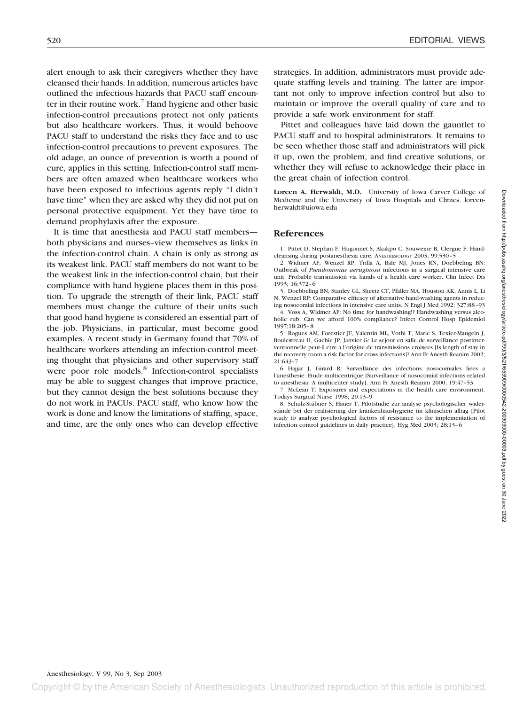alert enough to ask their caregivers whether they have cleansed their hands. In addition, numerous articles have outlined the infectious hazards that PACU staff encounter in their routine work.<sup>7</sup> Hand hygiene and other basic infection-control precautions protect not only patients but also healthcare workers. Thus, it would behoove PACU staff to understand the risks they face and to use infection-control precautions to prevent exposures. The old adage, an ounce of prevention is worth a pound of cure, applies in this setting. Infection-control staff members are often amazed when healthcare workers who have been exposed to infectious agents reply "I didn't have time" when they are asked why they did not put on personal protective equipment. Yet they have time to demand prophylaxis after the exposure.

It is time that anesthesia and PACU staff members both physicians and nurses–view themselves as links in the infection-control chain. A chain is only as strong as its weakest link. PACU staff members do not want to be the weakest link in the infection-control chain, but their compliance with hand hygiene places them in this position. To upgrade the strength of their link, PACU staff members must change the culture of their units such that good hand hygiene is considered an essential part of the job. Physicians, in particular, must become good examples. A recent study in Germany found that 70% of healthcare workers attending an infection-control meeting thought that physicians and other supervisory staff were poor role models.<sup>8</sup> Infection-control specialists may be able to suggest changes that improve practice, but they cannot design the best solutions because they do not work in PACUs. PACU staff, who know how the work is done and know the limitations of staffing, space, and time, are the only ones who can develop effective

strategies. In addition, administrators must provide adequate staffing levels and training. The latter are important not only to improve infection control but also to maintain or improve the overall quality of care and to provide a safe work environment for staff.

Pittet and colleagues have laid down the gauntlet to PACU staff and to hospital administrators. It remains to be seen whether those staff and administrators will pick it up, own the problem, and find creative solutions, or whether they will refuse to acknowledge their place in the great chain of infection control.

**Loreen A. Herwaldt, M.D.** University of Iowa Carver College of Medicine and the University of Iowa Hospitals and Clinics. loreenherwaldt@uiowa.edu

#### **References**

1. Pittet D, Stephan F, Hugonnet S, Akakpo C, Souweine B, Clergue F: Handcleansing during postanesthesia care. ANESTHESIOLOGY 2003; 99:530–5

2. Widmer AF, Wenzel RP, Trilla A, Bale MJ, Jones RN, Doebbeling BN: Outbreak of *Pseudomonas aeruginosa* infections in a surgical intensive care unit: Probable transmission via hands of a health care worker. Clin Infect Dis 1993; 16:372–6

3. Doebbeling BN, Stanley GL, Sheetz CT, Pfaller MA, Houston AK, Annis L, Li N, Wenzel RP: Comparative efficacy of alternative hand-washing agents in reducing nosocomial infections in intensive care units. N Engl J Med 1992; 327:88–93

4. Voss A, Widmer AF: No time for handwashing!? Handwashing versus alcoholic rub: Can we afford 100% compliance? Infect Control Hosp Epidemiol 1997;18:205–8

5. Rogues AM, Forestier JF, Valentin ML, Vothi T, Marie S, Texier-Maugein J, Boulestreau H, Gachie JP, Janvier G: Le sejour en salle de surveillance postinterventionnelle peut-il etre a l'origine de transmissions croisees [Is length of stay in the recovery room a risk factor for cross infections]? Ann Fr Anesth Reanim 2002; 21:643–7

6. Hajjar J, Girard R: Surveillance des infections nosocomiales liees a l'anesthesie: Etude multicentrique [Surveillance of nosocomial infections related to anesthesia: A multicenter study]. Ann Fr Anesth Reanim 2000; 19:47–53

7. McLean T: Exposures and expectations in the health care environment. Todays Surgical Nurse 1998; 20:13–9

8. Schulz-Stübner S, Hauer T: Pilotstudie zur analyse psychologischer widerstände bei der realisierung der krankenhaushygiene im klinischen alltag [Pilot study to analyze psychological factors of resistance to the implementation of infection control guidelines in daily practice]. Hyg Med 2003; 28:13–6

Copyright © by the American Society of Anesthesiologists. Unauthorized reproduction of this article is prohibited.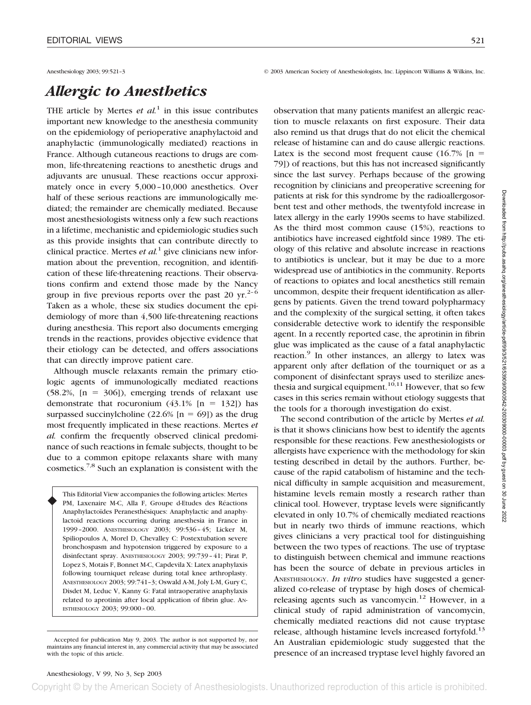# *Allergic to Anesthetics*

THE article by Mertes  $et \ al^{1}$  in this issue contributes important new knowledge to the anesthesia community on the epidemiology of perioperative anaphylactoid and anaphylactic (immunologically mediated) reactions in France. Although cutaneous reactions to drugs are common, life-threatening reactions to anesthetic drugs and adjuvants are unusual. These reactions occur approximately once in every 5,000–10,000 anesthetics. Over half of these serious reactions are immunologically mediated; the remainder are chemically mediated. Because most anesthesiologists witness only a few such reactions in a lifetime, mechanistic and epidemiologic studies such as this provide insights that can contribute directly to clinical practice. Mertes *et al.*<sup>1</sup> give clinicians new information about the prevention, recognition, and identification of these life-threatening reactions. Their observations confirm and extend those made by the Nancy group in five previous reports over the past 20  $yr.^{2-6}$ Taken as a whole, these six studies document the epidemiology of more than 4,500 life-threatening reactions during anesthesia. This report also documents emerging trends in the reactions, provides objective evidence that their etiology can be detected, and offers associations that can directly improve patient care.

Although muscle relaxants remain the primary etiologic agents of immunologically mediated reactions  $(58.2\%, \n\pi = 306]$ , emerging trends of relaxant use demonstrate that rocuronium  $(43.1\% \text{ [n} = 132])$  has surpassed succinylcholine (22.6%  $[n = 69]$ ) as the drug most frequently implicated in these reactions. Mertes *et al.* confirm the frequently observed clinical predominance of such reactions in female subjects, thought to be due to a common epitope relaxants share with many cosmetics.7,8 Such an explanation is consistent with the

This Editorial View accompanies the following articles: Mertes PM, Laxenaire M-C, Alla F, Groupe d-Etudes des Réactions Anaphylactoïdes Peranesthésiques: Anaphylactic and anaphylactoid reactions occurring during anesthesia in France in 1999–2000. ANESTHESIOLOGY 2003; 99:536–45; Licker M, Spiliopoulos A, Morel D, Chevalley C: Postextubation severe bronchospasm and hypotension triggered by exposure to a disinfectant spray. ANESTHESIOLOGY 2003; 99:739–41; Pirat P, Lopez S, Motais F, Bonnet M-C, Capdevila X: Latex anaphylaxis following tourniquet release during total knee arthroplasty. ANESTHESIOLOGY 2003; 99:741–3; Oswald A-M, Joly L-M, Gury C, Disdet M, Leduc V, Kanny G: Fatal intraoperative anaphylaxis related to aprotinin after local application of fibrin glue. AN-ESTHESIOLOGY 2003; 99:000–00.

Anesthesiology 2003; 99:521-3 © 2003 American Society of Anesthesiologists, Inc. Lippincott Williams & Wilkins, Inc.

observation that many patients manifest an allergic reaction to muscle relaxants on first exposure. Their data also remind us that drugs that do not elicit the chemical release of histamine can and do cause allergic reactions. Latex is the second most frequent cause  $(16.7\%$  [n = 79]) of reactions, but this has not increased significantly since the last survey. Perhaps because of the growing recognition by clinicians and preoperative screening for patients at risk for this syndrome by the radioallergosorbent test and other methods, the twentyfold increase in latex allergy in the early 1990s seems to have stabilized. As the third most common cause (15%), reactions to antibiotics have increased eightfold since 1989. The etiology of this relative and absolute increase in reactions to antibiotics is unclear, but it may be due to a more widespread use of antibiotics in the community. Reports of reactions to opiates and local anesthetics still remain uncommon, despite their frequent identification as allergens by patients. Given the trend toward polypharmacy and the complexity of the surgical setting, it often takes considerable detective work to identify the responsible agent. In a recently reported case, the aprotinin in fibrin glue was implicated as the cause of a fatal anaphylactic reaction.<sup>9</sup> In other instances, an allergy to latex was apparent only after deflation of the tourniquet or as a component of disinfectant sprays used to sterilize anesthesia and surgical equipment.<sup>10,11</sup> However, that so few cases in this series remain without etiology suggests that the tools for a thorough investigation do exist.

The second contribution of the article by Mertes *et al.* is that it shows clinicians how best to identify the agents responsible for these reactions. Few anesthesiologists or allergists have experience with the methodology for skin testing described in detail by the authors. Further, because of the rapid catabolism of histamine and the technical difficulty in sample acquisition and measurement, histamine levels remain mostly a research rather than clinical tool. However, tryptase levels were significantly elevated in only 10.7% of chemically mediated reactions but in nearly two thirds of immune reactions, which gives clinicians a very practical tool for distinguishing between the two types of reactions. The use of tryptase to distinguish between chemical and immune reactions has been the source of debate in previous articles in ANESTHESIOLOGY. *In vitro* studies have suggested a generalized co-release of tryptase by high doses of chemicalreleasing agents such as vancomycin.<sup>12</sup> However, in a clinical study of rapid administration of vancomycin, chemically mediated reactions did not cause tryptase release, although histamine levels increased fortyfold.<sup>13</sup> An Australian epidemiologic study suggested that the presence of an increased tryptase level highly favored an

♦

Accepted for publication May 9, 2003. The author is not supported by, nor maintains any financial interest in, any commercial activity that may be associated with the topic of this article.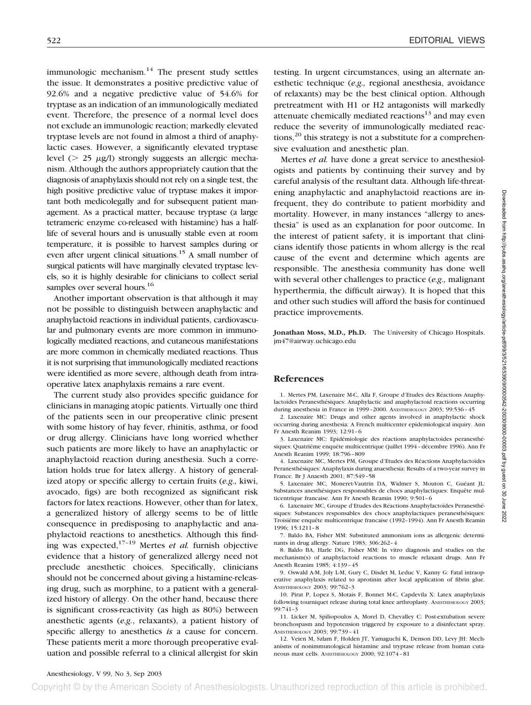immunologic mechanism. $14$  The present study settles the issue. It demonstrates a positive predictive value of 92.6% and a negative predictive value of 54.6% for tryptase as an indication of an immunologically mediated event. Therefore, the presence of a normal level does not exclude an immunologic reaction; markedly elevated tryptase levels are not found in almost a third of anaphylactic cases. However, a significantly elevated tryptase level ( $> 25 \mu g/l$ ) strongly suggests an allergic mechanism. Although the authors appropriately caution that the diagnosis of anaphylaxis should not rely on a single test, the high positive predictive value of tryptase makes it important both medicolegally and for subsequent patient management. As a practical matter, because tryptase (a large tetrameric enzyme co-released with histamine) has a halflife of several hours and is unusually stable even at room temperature, it is possible to harvest samples during or even after urgent clinical situations.15 A small number of surgical patients will have marginally elevated tryptase levels, so it is highly desirable for clinicians to collect serial samples over several hours.<sup>16</sup>

Another important observation is that although it may not be possible to distinguish between anaphylactic and anaphylactoid reactions in individual patients, cardiovascular and pulmonary events are more common in immunologically mediated reactions, and cutaneous manifestations are more common in chemically mediated reactions. Thus it is not surprising that immunologically mediated reactions were identified as more severe, although death from intraoperative latex anaphylaxis remains a rare event.

The current study also provides specific guidance for clinicians in managing atopic patients. Virtually one third of the patients seen in our preoperative clinic present with some history of hay fever, rhinitis, asthma, or food or drug allergy. Clinicians have long worried whether such patients are more likely to have an anaphylactic or anaphylactoid reaction during anesthesia. Such a correlation holds true for latex allergy. A history of generalized atopy or specific allergy to certain fruits (*e.g.,* kiwi, avocado, figs) are both recognized as significant risk factors for latex reactions. However, other than for latex, a generalized history of allergy seems to be of little consequence in predisposing to anaphylactic and anaphylactoid reactions to anesthetics. Although this finding was expected,17–19 Mertes *et al.* furnish objective evidence that a history of generalized allergy need not preclude anesthetic choices. Specifically, clinicians should not be concerned about giving a histamine-releasing drug, such as morphine, to a patient with a generalized history of allergy. On the other hand, because there is significant cross-reactivity (as high as 80%) between anesthetic agents (*e.g.*, relaxants), a patient history of specific allergy to anesthetics *is* a cause for concern. These patients merit a more thorough preoperative evaluation and possible referral to a clinical allergist for skin

testing. In urgent circumstances, using an alternate anesthetic technique (*e.g.,* regional anesthesia, avoidance of relaxants) may be the best clinical option. Although pretreatment with H1 or H2 antagonists will markedly attenuate chemically mediated reactions<sup>13</sup> and may even reduce the severity of immunologically mediated reactions,<sup>20</sup> this strategy is not a substitute for a comprehensive evaluation and anesthetic plan.

Mertes *et al.* have done a great service to anesthesiologists and patients by continuing their survey and by careful analysis of the resultant data. Although life-threatening anaphylactic and anaphylactoid reactions are infrequent, they do contribute to patient morbidity and mortality. However, in many instances "allergy to anesthesia" is used as an explanation for poor outcome. In the interest of patient safety, it is important that clinicians identify those patients in whom allergy is the real cause of the event and determine which agents are responsible. The anesthesia community has done well with several other challenges to practice (*e.g.,* malignant hyperthermia, the difficult airway). It is hoped that this and other such studies will afford the basis for continued practice improvements.

**Jonathan Moss, M.D., Ph.D.** The University of Chicago Hospitals. jm47@airway.uchicago.edu

### **References**

1. Mertes PM, Laxenaire M-C, Alla F, Groupe d'Etudes des Réactions Anaphylactoïdes Peranesthésiques: Anaphylactic and anaphylactoid reactions occurring during anesthesia in France in 1999–2000. ANESTHESIOLOGY 2003; 99:536–45

2. Laxenaire MC: Drugs and other agents involved in anaphylactic shock occurring during anesthesia: A French multicenter epidemiological inquiry. Ann Fr Anesth Reanim 1993; 12:91–6

3. Laxenaire MC: Epidémiologie des réactions anaphylactoïdes peranesthésiques: Quatriéme enquéte multicentrique (juillet 1994–décembre 1996). Ann Fr Anesth Reanim 1999; 18:796–809

4. Laxenaire MC, Mertes PM, Groupe d'Etudes des Réactions Anaphylactoïdes Peranesthésiques: Anaphylaxis during anaesthesia: Results of a two-year survey in France. Br J Anaesth 2001; 87:549–58

5. Laxenaire MC, Moneret-Vautrin DA, Widmer S, Mouton C, Guéant JL: Substances anesthésiques responsables de chocs anaphylactiques: Enquête multicentrique francaise. Ann Fr Anesth Reamin 1990; 9:501–6

6. Laxenaire MC, Groupe d'Etudes des Réactions Anaphylactoïdes Peranesthésiques: Substances responsables des chocs anaphylactiques peranesthésiques: Troisiéme enquête multicentrique francaise (1992–1994). Ann Fr Anesth Reamin 1996; 15:1211–8

7. Baldo BA, Fisher MM: Substituted ammonium ions as allergenic determinants in drug allergy. Nature 1983; 306:262–4

8. Baldo BA, Harle DG, Fisher MM: In vitro diagnosis and studies on the mechanism(s) of anaphylactoid reactions to muscle relaxant drugs. Ann Fr Anesth Reanim 1985; 4:139–45

9. Oswald A-M, Joly L-M, Gury C, Disdet M, Leduc V, Kanny G: Fatal intraoperative anaphylaxis related to aprotinin after local application of fibrin glue. ANESTHESIOLOGY 2003; 99:762–3

10. Pirat P, Lopez S, Motais F, Bonnet M-C, Capdevila X: Latex anaphylaxis following tourniquet release during total knee arthroplasty. ANESTHESIOLOGY 2003; 99:741–3

11. Licker M, Spiliopoulos A, Morel D, Chevalley C: Post-extubation severe bronchospasm and hypotension triggered by exposure to a disinfectant spray. ANESTHESIOLOGY 2003; 99:739–41

12. Veien M, Szlam F, Holden JT, Yamaguchi K, Denson DD, Levy JH: Mechanisms of nonimmunological histamine and tryptase release from human cutaneous mast cells. ANESTHESIOLOGY 2000; 92:1074–81

#### Anesthesiology, V 99, No 3, Sep 2003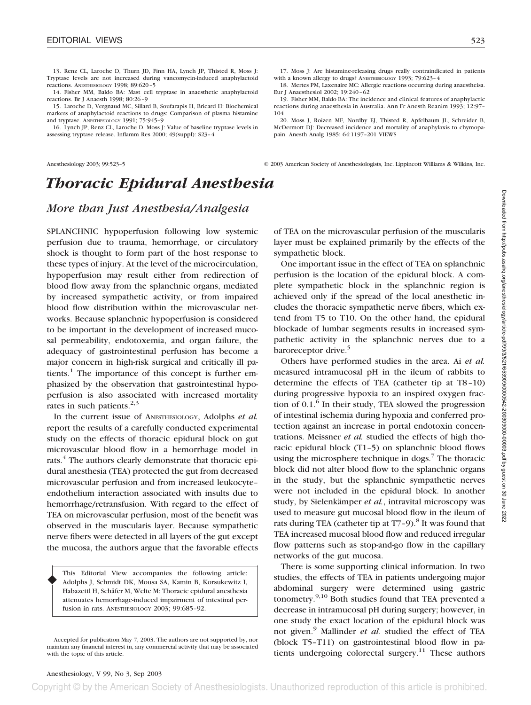13. Renz CL, Laroche D, Thurn JD, Finn HA, Lynch JP, Thisted R, Moss J: Tryptase levels are not increased during vancomycin-induced anaphylactoid reactions. ANESTHESIOLOGY 1998; 89:620–5

14. Fisher MM, Baldo BA: Mast cell tryptase in anaesthetic anaphylactoid reactions. Br J Anaesth 1998; 80:26–9

15. Laroche D, Vergnaud MC, Sillard B, Soufarapis H, Bricard H: Biochemical markers of anaphylactoid reactions to drugs: Comparison of plasma histamine and tryptase. ANESTHESIOLOGY 1991; 75:945–9

16. Lynch JP, Renz CL, Laroche D, Moss J: Value of baseline tryptase levels in assessing tryptase release. Inflamm Res 2000; 49(suppl): S23–4

17. Moss J: Are histamine-releasing drugs really contraindicated in patients with a known allergy to drugs? ANESTHESIOLOGY 1993; 79:623–4

18. Mertes PM, Laxenaire MC: Allergic reactions occurring during anaestheisa. Eur J Anaesthesiol 2002; 19:240–62

19. Fisher MM, Baldo BA: The incidence and clinical features of anaphylactic reactions during anaesthesia in Australia. Ann Fr Anesth Reanim 1993; 12:97– 104

20. Moss J, Roizen MF, Nordby EJ, Thisted R, Apfelbaum JL, Schreider B, McDermott DJ: Decreased incidence and mortality of anaphylaxis to chymopapain. Anesth Analg 1985; 64:1197–201 VIEWS

Anesthesiology 2003; 99:523–5 © 2003 American Society of Anesthesiologists, Inc. Lippincott Williams & Wilkins, Inc.

## *Thoracic Epidural Anesthesia*

### *More than Just Anesthesia/Analgesia*

SPLANCHNIC hypoperfusion following low systemic perfusion due to trauma, hemorrhage, or circulatory shock is thought to form part of the host response to these types of injury. At the level of the microcirculation, hypoperfusion may result either from redirection of blood flow away from the splanchnic organs, mediated by increased sympathetic activity, or from impaired blood flow distribution within the microvascular networks. Because splanchnic hypoperfusion is considered to be important in the development of increased mucosal permeability, endotoxemia, and organ failure, the adequacy of gastrointestinal perfusion has become a major concern in high-risk surgical and critically ill patients.<sup>1</sup> The importance of this concept is further emphasized by the observation that gastrointestinal hypoperfusion is also associated with increased mortality rates in such patients. $2,3$ 

In the current issue of ANESTHESIOLOGY, Adolphs *et al.* report the results of a carefully conducted experimental study on the effects of thoracic epidural block on gut microvascular blood flow in a hemorrhage model in rats.<sup>4</sup> The authors clearly demonstrate that thoracic epidural anesthesia (TEA) protected the gut from decreased microvascular perfusion and from increased leukocyte– endothelium interaction associated with insults due to hemorrhage/retransfusion. With regard to the effect of TEA on microvascular perfusion, most of the benefit was observed in the muscularis layer. Because sympathetic nerve fibers were detected in all layers of the gut except the mucosa, the authors argue that the favorable effects

This Editorial View accompanies the following article: Adolphs J, Schmidt DK, Mousa SA, Kamin B, Korsukewitz I, Habazettl H, Schäfer M, Welte M: Thoracic epidural anesthesia attenuates hemorrhage-induced impairment of intestinal perfusion in rats. ANESTHESIOLOGY 2003; 99:685–92.

Downloaded from http://pubs.asahq.org/anesiology/article-pdf/99/3787/653909/0000542-20030900000003.pdf by guest on 30 June 2022 Downloaded from http://pubs.asahq.org/anesthesiology/article-pdf/99/3/521/653909/0000542-200309000-00003.pdf by guest on 30 June 2022

of TEA on the microvascular perfusion of the muscularis layer must be explained primarily by the effects of the sympathetic block.

One important issue in the effect of TEA on splanchnic perfusion is the location of the epidural block. A complete sympathetic block in the splanchnic region is achieved only if the spread of the local anesthetic includes the thoracic sympathetic nerve fibers, which extend from T5 to T10. On the other hand, the epidural blockade of lumbar segments results in increased sympathetic activity in the splanchnic nerves due to a baroreceptor drive.<sup>5</sup>

Others have performed studies in the area. Ai *et al.* measured intramucosal pH in the ileum of rabbits to determine the effects of TEA (catheter tip at T8–10) during progressive hypoxia to an inspired oxygen fraction of  $0.1<sup>6</sup>$  In their study, TEA slowed the progression of intestinal ischemia during hypoxia and conferred protection against an increase in portal endotoxin concentrations. Meissner *et al.* studied the effects of high thoracic epidural block (T1–5) on splanchnic blood flows using the microsphere technique in dogs. $\frac{7}{1}$  The thoracic block did not alter blood flow to the splanchnic organs in the study, but the splanchnic sympathetic nerves were not included in the epidural block. In another study, by Sielenkämper *et al.*, intravital microscopy was used to measure gut mucosal blood flow in the ileum of rats during TEA (catheter tip at  $T7-9$ ).<sup>8</sup> It was found that TEA increased mucosal blood flow and reduced irregular flow patterns such as stop-and-go flow in the capillary networks of the gut mucosa.

There is some supporting clinical information. In two studies, the effects of TEA in patients undergoing major abdominal surgery were determined using gastric tonometry.9,10 Both studies found that TEA prevented a decrease in intramucosal pH during surgery; however, in one study the exact location of the epidural block was not given.9 Mallinder *et al.* studied the effect of TEA (block T5–T11) on gastrointestinal blood flow in patients undergoing colorectal surgery.<sup>11</sup> These authors

♦

Accepted for publication May 7, 2003. The authors are not supported by, nor maintain any financial interest in, any commercial activity that may be associated with the topic of this article.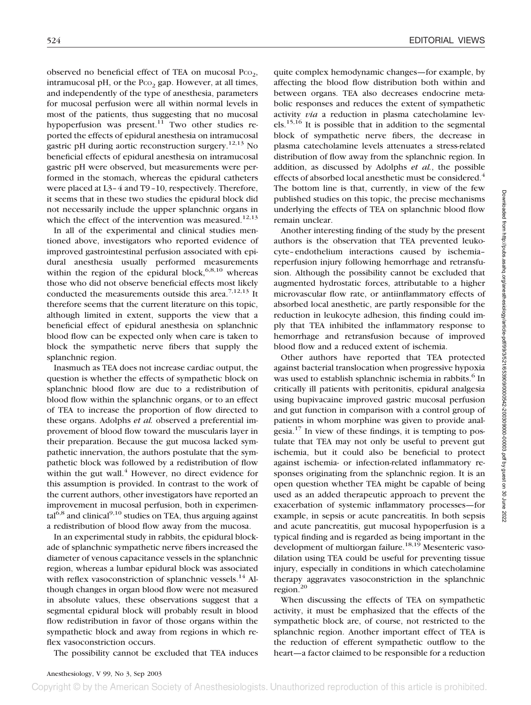observed no beneficial effect of TEA on mucosal  $P_{CO_2}$ , intramucosal pH, or the  $P_{CO_2}$  gap. However, at all times, and independently of the type of anesthesia, parameters for mucosal perfusion were all within normal levels in most of the patients, thus suggesting that no mucosal hypoperfusion was present. $11$  Two other studies reported the effects of epidural anesthesia on intramucosal gastric pH during aortic reconstruction surgery.<sup>12,13</sup> No beneficial effects of epidural anesthesia on intramucosal gastric pH were observed, but measurements were performed in the stomach, whereas the epidural catheters were placed at L3-4 and T9-10, respectively. Therefore, it seems that in these two studies the epidural block did not necessarily include the upper splanchnic organs in which the effect of the intervention was measured.<sup>12,13</sup>

In all of the experimental and clinical studies mentioned above, investigators who reported evidence of improved gastrointestinal perfusion associated with epidural anesthesia usually performed measurements within the region of the epidural block,  $6,8,10$  whereas those who did not observe beneficial effects most likely conducted the measurements outside this area.<sup>7,12,13</sup> It therefore seems that the current literature on this topic, although limited in extent, supports the view that a beneficial effect of epidural anesthesia on splanchnic blood flow can be expected only when care is taken to block the sympathetic nerve fibers that supply the splanchnic region.

Inasmuch as TEA does not increase cardiac output, the question is whether the effects of sympathetic block on splanchnic blood flow are due to a redistribution of blood flow within the splanchnic organs, or to an effect of TEA to increase the proportion of flow directed to these organs. Adolphs *et al.* observed a preferential improvement of blood flow toward the muscularis layer in their preparation. Because the gut mucosa lacked sympathetic innervation, the authors postulate that the sympathetic block was followed by a redistribution of flow within the gut wall. $4$  However, no direct evidence for this assumption is provided. In contrast to the work of the current authors, other investigators have reported an improvement in mucosal perfusion, both in experimen $tal<sup>6,8</sup>$  and clinical<sup>9,10</sup> studies on TEA, thus arguing against a redistribution of blood flow away from the mucosa.

In an experimental study in rabbits, the epidural blockade of splanchnic sympathetic nerve fibers increased the diameter of venous capacitance vessels in the splanchnic region, whereas a lumbar epidural block was associated with reflex vasoconstriction of splanchnic vessels.<sup>14</sup> Although changes in organ blood flow were not measured in absolute values, these observations suggest that a segmental epidural block will probably result in blood flow redistribution in favor of those organs within the sympathetic block and away from regions in which reflex vasoconstriction occurs.

The possibility cannot be excluded that TEA induces

524 EDITORIAL VIEWS

quite complex hemodynamic changes—for example, by affecting the blood flow distribution both within and between organs. TEA also decreases endocrine metabolic responses and reduces the extent of sympathetic activity *via* a reduction in plasma catecholamine lev $els.<sup>15,16</sup>$  It is possible that in addition to the segmental block of sympathetic nerve fibers, the decrease in plasma catecholamine levels attenuates a stress-related distribution of flow away from the splanchnic region. In addition, as discussed by Adolphs *et al.*, the possible effects of absorbed local anesthetic must be considered.<sup>4</sup> The bottom line is that, currently, in view of the few published studies on this topic, the precise mechanisms underlying the effects of TEA on splanchnic blood flow remain unclear.

Another interesting finding of the study by the present authors is the observation that TEA prevented leukocyte–endothelium interactions caused by ischemia– reperfusion injury following hemorrhage and retransfusion. Although the possibility cannot be excluded that augmented hydrostatic forces, attributable to a higher microvascular flow rate, or antiinflammatory effects of absorbed local anesthetic, are partly responsible for the reduction in leukocyte adhesion, this finding could imply that TEA inhibited the inflammatory response to hemorrhage and retransfusion because of improved blood flow and a reduced extent of ischemia.

Other authors have reported that TEA protected against bacterial translocation when progressive hypoxia was used to establish splanchnic ischemia in rabbits.<sup>6</sup> In critically ill patients with peritonitis, epidural analgesia using bupivacaine improved gastric mucosal perfusion and gut function in comparison with a control group of patients in whom morphine was given to provide analgesia.<sup>17</sup> In view of these findings, it is tempting to postulate that TEA may not only be useful to prevent gut ischemia, but it could also be beneficial to protect against ischemia- or infection-related inflammatory responses originating from the splanchnic region. It is an open question whether TEA might be capable of being used as an added therapeutic approach to prevent the exacerbation of systemic inflammatory processes—for example, in sepsis or acute pancreatitis. In both sepsis and acute pancreatitis, gut mucosal hypoperfusion is a typical finding and is regarded as being important in the development of multiorgan failure.<sup>18,19</sup> Mesenteric vasodilation using TEA could be useful for preventing tissue injury, especially in conditions in which catecholamine therapy aggravates vasoconstriction in the splanchnic region. $20$ 

When discussing the effects of TEA on sympathetic activity, it must be emphasized that the effects of the sympathetic block are, of course, not restricted to the splanchnic region. Another important effect of TEA is the reduction of efferent sympathetic outflow to the heart—a factor claimed to be responsible for a reduction

Anesthesiology, V 99, No 3, Sep 2003